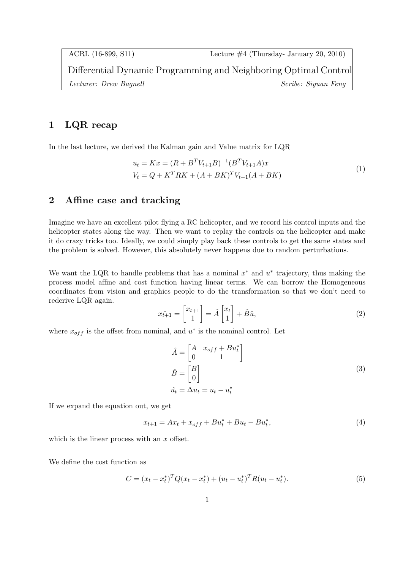## 1 LQR recap

In the last lecture, we derived the Kalman gain and Value matrix for LQR

$$
u_t = Kx = (R + B^T V_{t+1} B)^{-1} (B^T V_{t+1} A)x
$$
  
\n
$$
V_t = Q + K^T R K + (A + BK)^T V_{t+1} (A + BK)
$$
\n(1)

## 2 Affine case and tracking

Imagine we have an excellent pilot flying a RC helicopter, and we record his control inputs and the helicopter states along the way. Then we want to replay the controls on the helicopter and make it do crazy tricks too. Ideally, we could simply play back these controls to get the same states and the problem is solved. However, this absolutely never happens due to random perturbations.

We want the LQR to handle problems that has a nominal  $x^*$  and  $u^*$  trajectory, thus making the process model affine and cost function having linear terms. We can borrow the Homogeneous coordinates from vision and graphics people to do the transformation so that we don't need to rederive LQR again.

$$
\hat{x}_{t+1} = \begin{bmatrix} x_{t+1} \\ 1 \end{bmatrix} = \hat{A} \begin{bmatrix} x_t \\ 1 \end{bmatrix} + \hat{B}\hat{u},\tag{2}
$$

where  $x_{off}$  is the offset from nominal, and  $u^*$  is the nominal control. Let

$$
\hat{A} = \begin{bmatrix} A & x_{off} + Bu_t^* \\ 0 & 1 \end{bmatrix}
$$
  
\n
$$
\hat{B} = \begin{bmatrix} B \\ 0 \end{bmatrix}
$$
  
\n
$$
\hat{u}_t = \Delta u_t = u_t - u_t^*
$$
\n(3)

If we expand the equation out, we get

$$
x_{t+1} = Ax_t + x_{off} + Bu_t^* + Bu_t - Bu_t^*,
$$
\n<sup>(4)</sup>

which is the linear process with an x offset.

We define the cost function as

$$
C = (x_t - x_t^*)^T Q (x_t - x_t^*) + (u_t - u_t^*)^T R (u_t - u_t^*).
$$
\n(5)